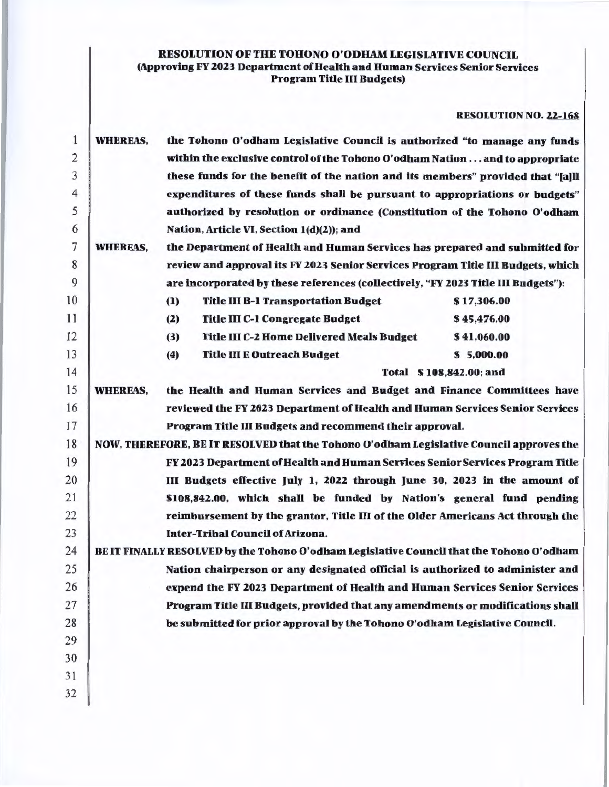# RESOLUTION OF THE TOHONO O'ODHAM LEGISLATIVE COUNCIL (Approving FY 2023 Department of Health and Human Services Senior Services Program Title Ill Budgets)

RESOLUTION NO. 22-168

| $\mathbf{1}$   | the Tohono O'odham Legislative Council is authorized "to manage any funds<br><b>WHEREAS,</b> |                                                                                          |             |  |  |  |  |  |
|----------------|----------------------------------------------------------------------------------------------|------------------------------------------------------------------------------------------|-------------|--|--|--|--|--|
| $\overline{2}$ |                                                                                              | within the exclusive control of the Tohono O'odham Nationand to appropriate              |             |  |  |  |  |  |
| 3              |                                                                                              | these funds for the benefit of the nation and its members" provided that "[a]]]          |             |  |  |  |  |  |
| $\overline{4}$ |                                                                                              | expenditures of these funds shall be pursuant to appropriations or budgets"              |             |  |  |  |  |  |
| 5              |                                                                                              | authorized by resolution or ordinance (Constitution of the Tohono O'odham                |             |  |  |  |  |  |
| 6              |                                                                                              | Nation, Article VI, Section 1(d)(2)); and                                                |             |  |  |  |  |  |
| 7              | <b>WHEREAS,</b>                                                                              | the Department of Health and Human Services has prepared and submitted for               |             |  |  |  |  |  |
| 8              |                                                                                              | review and approval its FY 2023 Senior Services Program Title III Budgets, which         |             |  |  |  |  |  |
| 9              | are incorporated by these references (collectively, "FY 2023 Title III Budgets"):            |                                                                                          |             |  |  |  |  |  |
| 10             |                                                                                              | <b>Title III B-1 Transportation Budget</b><br>(1)                                        | \$17,306.00 |  |  |  |  |  |
| 11             |                                                                                              | <b>Title III C-1 Congregate Budget</b><br>(2)                                            | \$45,476.00 |  |  |  |  |  |
| 12             |                                                                                              | <b>Title III C-2 Home Delivered Meals Budget</b><br>(3)                                  | \$41,060.00 |  |  |  |  |  |
| 13             |                                                                                              | <b>Title III E Outreach Budget</b><br>(4)                                                | \$5,000.00  |  |  |  |  |  |
| 14             |                                                                                              | Total \$108,842.00; and                                                                  |             |  |  |  |  |  |
| 15             | <b>WHEREAS,</b>                                                                              | the Health and Human Services and Budget and Finance Committees have                     |             |  |  |  |  |  |
| 16             |                                                                                              | reviewed the FY 2023 Department of Health and Human Services Senior Services             |             |  |  |  |  |  |
| 17             |                                                                                              | Program Title III Budgets and recommend their approval.                                  |             |  |  |  |  |  |
| 18             | NOW, THEREFORE, BE IT RESOLVED that the Tohono O'odham Legislative Council approves the      |                                                                                          |             |  |  |  |  |  |
| 19             |                                                                                              | FY 2023 Department of Health and Human Services Senior Services Program Title            |             |  |  |  |  |  |
| 20             |                                                                                              | III Budgets effective July 1, 2022 through June 30, 2023 in the amount of                |             |  |  |  |  |  |
| 21             |                                                                                              | \$108,842.00, which shall be funded by Nation's general fund pending                     |             |  |  |  |  |  |
| 22             |                                                                                              | reimbursement by the grantor, Title III of the Older Americans Act through the           |             |  |  |  |  |  |
| 23             |                                                                                              | <b>Inter-Tribal Council of Arizona.</b>                                                  |             |  |  |  |  |  |
| 24             |                                                                                              | BE IT FINALLY RESOLVED by the Tohono O'odham Legislative Council that the Tohono O'odham |             |  |  |  |  |  |
| 25             |                                                                                              | Nation chairperson or any designated official is authorized to administer and            |             |  |  |  |  |  |
| 26             |                                                                                              | expend the FY 2023 Department of Health and Human Services Senior Services               |             |  |  |  |  |  |
| 27             |                                                                                              | Program Title III Budgets, provided that any amendments or modifications shall           |             |  |  |  |  |  |
| 28             |                                                                                              | be submitted for prior approval by the Tohono O'odham Legislative Council.               |             |  |  |  |  |  |
| 29             |                                                                                              |                                                                                          |             |  |  |  |  |  |
| 30             |                                                                                              |                                                                                          |             |  |  |  |  |  |
| 31             |                                                                                              |                                                                                          |             |  |  |  |  |  |
| 32             |                                                                                              |                                                                                          |             |  |  |  |  |  |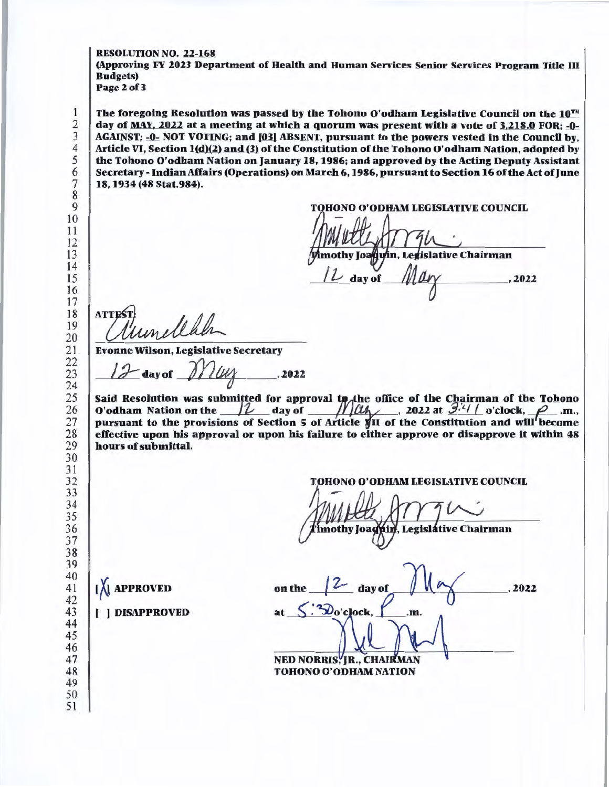#### RESOLUTION NO. 22-168

(Approving FY 2023 Department of Health and Human Services Senior Services Program Title DI **Budgets**) Page 2 of 3

The foregoing Resolution was passed by the Tohono O'odham Legislative Council on the  $10^{TH}$ day of MAY. 2022 at a meeting at which a quorum was present with a vote of  $3.218.0$  FOR;  $-0$ . AGAINST; -0- NOT VOTING; and [03] ABSENT, pursuant to the powers vested in the Council by, Article VI, Section l(d)12) and (3) of the Constitution of the Tohono O'odham Nation, adopted by the Tohono O'odham Nation on January 18, 1986; and approved by the Acting Deputy Assistant Secretary-Indian Affairs (Operations) on March 6, 1986, pursuant to Section 16 of the Act of June 18, 1934 (48 Stat.984).

TOHONO O'ODHAM LEGISLATIVE COUNCIL

mothy Joaquin, Legislative Chairman

day of .2022

**ATTES** 

Evonne Wilson, Legislative Secretary

 $=$  day of  $\frac{1}{2}$   $\frac{1}{4}$   $\frac{1}{4}$   $\frac{1}{4}$   $\frac{1}{4}$   $\frac{1}{4}$   $\frac{1}{4}$   $\frac{1}{4}$   $\frac{1}{4}$   $\frac{1}{4}$   $\frac{1}{4}$   $\frac{1}{4}$   $\frac{1}{4}$   $\frac{1}{4}$   $\frac{1}{4}$   $\frac{1}{4}$   $\frac{1}{4}$   $\frac{1}{4}$   $\frac{1}{4}$   $\frac{1}{4}$   $\frac{1}{4}$ 

Said Resolution was submitted for approval to the office of the Chairman of the Tohono Said Resolution was submitted for approval to the office of the Chairman of the Tohono<br>O'odham Nation on the  $\frac{1}{2}$  day of  $\frac{1}{2}$  and  $\frac{1}{2}$ , 2022 at  $\frac{3.4}{2.4}$  o'clock,  $\frac{1}{2}$  .m., pursuant to the provisio effective upon his approval or upon his failure to either approve or disapprove it within 48 hours of submittal.

**HONO O'ODHAM LEGISLATIVE COUNCIL** 

mothy Joagnin, Legislative Chairman

**I** APPROVED

on the day of  $\sqrt{10}$ at  $\frac{S \cdot \text{loglock}}{S \cdot \text{loglock}}$ NED NORRIS, IR., CHAIRMAN , 2022 TOHONO O'ODHAM NATION

( ) DISAPPROVED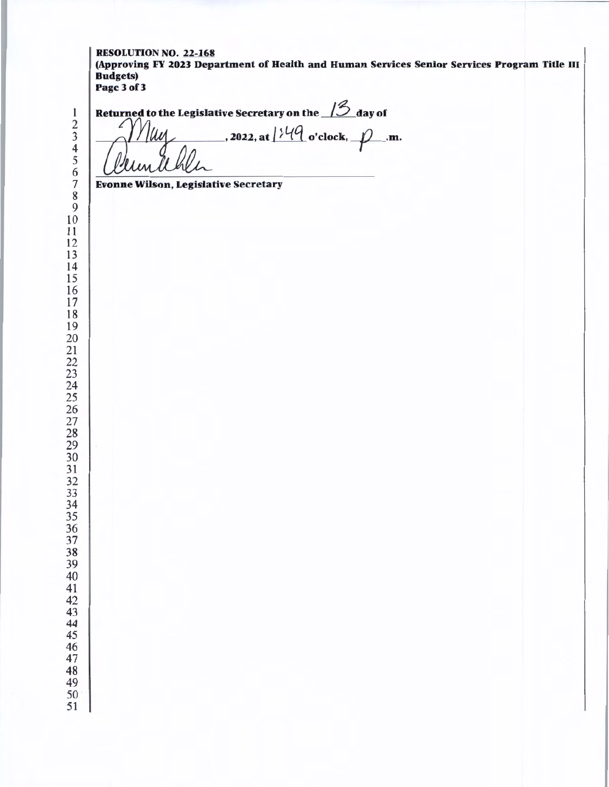### RESOLUTION NO. 22-168 (Approving FY 2023 Department of Health and Human Services Senior Services Program Title III Budgets) Page3of3

 

<sup>1</sup><br>
<sup>2</sup><br>
<sup>3</sup><br>
<sup>4</sup><br>
<del>6</del><br> *Clumitheli*<br> *P*<br> *Limitheli*<br> *P*<br> *I*<br> *B*<br> *a*<br> *i*<br> *s*<br> *Clumitheli* 

Evonne Wilson, Legislative Secretary